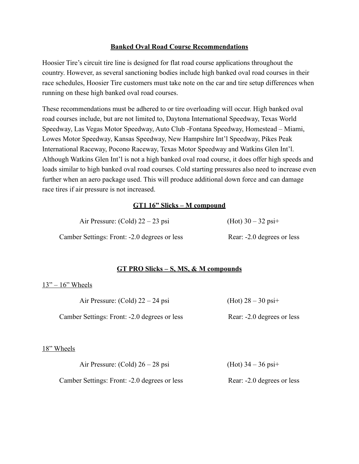# **Banked Oval Road Course Recommendations**

Hoosier Tire's circuit tire line is designed for flat road course applications throughout the country. However, as several sanctioning bodies include high banked oval road courses in their race schedules, Hoosier Tire customers must take note on the car and tire setup differences when running on these high banked oval road courses.

These recommendations must be adhered to or tire overloading will occur. High banked oval road courses include, but are not limited to, Daytona International Speedway, Texas World Speedway, Las Vegas Motor Speedway, Auto Club -Fontana Speedway, Homestead – Miami, Lowes Motor Speedway, Kansas Speedway, New Hampshire Int'l Speedway, Pikes Peak International Raceway, Pocono Raceway, Texas Motor Speedway and Watkins Glen Int'l. Although Watkins Glen Int'l is not a high banked oval road course, it does offer high speeds and loads similar to high banked oval road courses. Cold starting pressures also need to increase even further when an aero package used. This will produce additional down force and can damage race tires if air pressure is not increased.

# **GT1 16" Slicks – M compound**

| Air Pressure: (Cold) $22 - 23$ psi           | (Hot) $30 - 32$ psi+       |
|----------------------------------------------|----------------------------|
| Camber Settings: Front: -2.0 degrees or less | Rear: -2.0 degrees or less |

### **GT PRO Slicks – S, MS, & M compounds**

### $13" - 16"$  Wheels

|            | Air Pressure: (Cold) $22 - 24$ psi           | (Hot) $28 - 30$ psi+       |
|------------|----------------------------------------------|----------------------------|
|            | Camber Settings: Front: -2.0 degrees or less | Rear: -2.0 degrees or less |
| 18" Wheels |                                              |                            |
|            | Air Pressure: (Cold) $26 - 28$ psi           | (Hot) $34 - 36$ psi+       |

Camber Settings: Front: -2.0 degrees or less Rear: -2.0 degrees or less